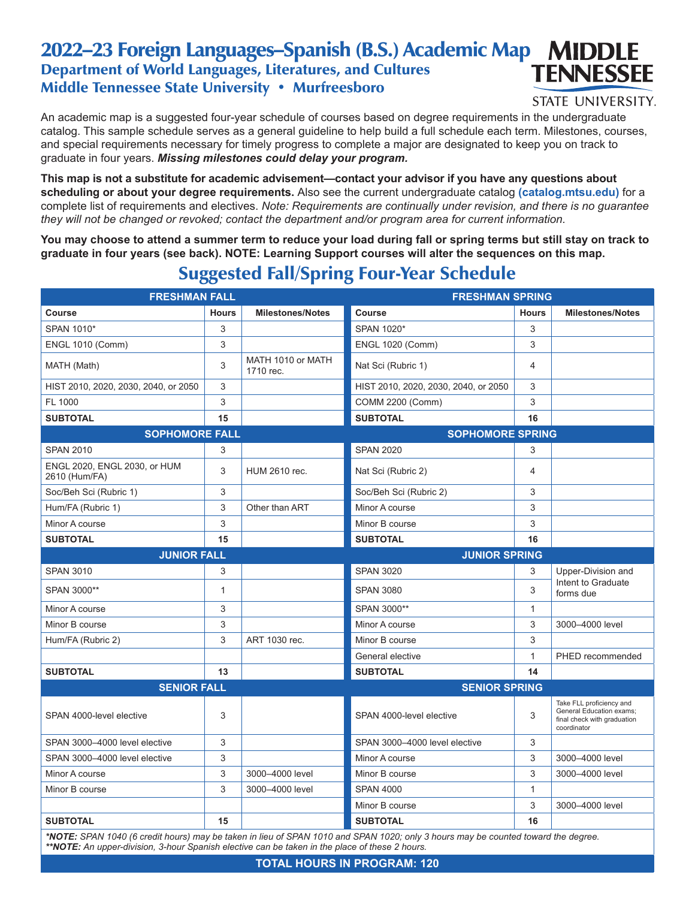## 2022–23 Foreign Languages–Spanish (B.S.) Academic Map Department of World Languages, Literatures, and Cultures Middle Tennessee State University • Murfreesboro



**STATE UNIVERSITY.** 

An academic map is a suggested four-year schedule of courses based on degree requirements in the undergraduate catalog. This sample schedule serves as a general guideline to help build a full schedule each term. Milestones, courses, and special requirements necessary for timely progress to complete a major are designated to keep you on track to graduate in four years. *Missing milestones could delay your program.*

**This map is not a substitute for academic advisement—contact your advisor if you have any questions about scheduling or about your degree requirements.** Also see the current undergraduate catalog **(catalog.mtsu.edu)** for a complete list of requirements and electives. *Note: Requirements are continually under revision, and there is no guarantee they will not be changed or revoked; contact the department and/or program area for current information.*

**You may choose to attend a summer term to reduce your load during fall or spring terms but still stay on track to graduate in four years (see back). NOTE: Learning Support courses will alter the sequences on this map.**

| <b>FRESHMAN FALL</b>                                                                                                              |              | <b>FRESHMAN SPRING</b>         |                                      |              |                                                                                                    |  |  |
|-----------------------------------------------------------------------------------------------------------------------------------|--------------|--------------------------------|--------------------------------------|--------------|----------------------------------------------------------------------------------------------------|--|--|
| Course                                                                                                                            | <b>Hours</b> | <b>Milestones/Notes</b>        | Course                               | <b>Hours</b> | <b>Milestones/Notes</b>                                                                            |  |  |
| SPAN 1010*                                                                                                                        | 3            |                                | SPAN 1020*                           | 3            |                                                                                                    |  |  |
| <b>ENGL 1010 (Comm)</b>                                                                                                           | 3            |                                | <b>ENGL 1020 (Comm)</b>              | 3            |                                                                                                    |  |  |
| MATH (Math)                                                                                                                       | 3            | MATH 1010 or MATH<br>1710 rec. | Nat Sci (Rubric 1)                   | 4            |                                                                                                    |  |  |
| HIST 2010, 2020, 2030, 2040, or 2050                                                                                              | 3            |                                | HIST 2010, 2020, 2030, 2040, or 2050 | 3            |                                                                                                    |  |  |
| FL 1000                                                                                                                           | 3            |                                | <b>COMM 2200 (Comm)</b>              | 3            |                                                                                                    |  |  |
| <b>SUBTOTAL</b>                                                                                                                   | 15           |                                | <b>SUBTOTAL</b>                      | 16           |                                                                                                    |  |  |
| <b>SOPHOMORE FALL</b><br><b>SOPHOMORE SPRING</b>                                                                                  |              |                                |                                      |              |                                                                                                    |  |  |
| <b>SPAN 2010</b>                                                                                                                  | 3            |                                | <b>SPAN 2020</b>                     | 3            |                                                                                                    |  |  |
| ENGL 2020, ENGL 2030, or HUM<br>2610 (Hum/FA)                                                                                     | 3            | HUM 2610 rec.                  | Nat Sci (Rubric 2)                   | 4            |                                                                                                    |  |  |
| Soc/Beh Sci (Rubric 1)                                                                                                            | 3            |                                | Soc/Beh Sci (Rubric 2)               | 3            |                                                                                                    |  |  |
| Hum/FA (Rubric 1)                                                                                                                 | 3            | Other than ART                 | Minor A course                       | 3            |                                                                                                    |  |  |
| Minor A course                                                                                                                    | 3            |                                | Minor B course                       | 3            |                                                                                                    |  |  |
| <b>SUBTOTAL</b>                                                                                                                   | 15           |                                | <b>SUBTOTAL</b>                      | 16           |                                                                                                    |  |  |
| <b>JUNIOR FALL</b><br><b>JUNIOR SPRING</b>                                                                                        |              |                                |                                      |              |                                                                                                    |  |  |
| <b>SPAN 3010</b>                                                                                                                  | 3            |                                | <b>SPAN 3020</b>                     | 3            | Upper-Division and                                                                                 |  |  |
| SPAN 3000**                                                                                                                       | 1            |                                | <b>SPAN 3080</b>                     | 3            | Intent to Graduate<br>forms due                                                                    |  |  |
| Minor A course                                                                                                                    | 3            |                                | SPAN 3000**                          | $\mathbf{1}$ |                                                                                                    |  |  |
| Minor B course                                                                                                                    | 3            |                                | Minor A course                       | 3            | 3000-4000 level                                                                                    |  |  |
| Hum/FA (Rubric 2)                                                                                                                 | 3            | ART 1030 rec.                  | Minor B course                       | 3            |                                                                                                    |  |  |
|                                                                                                                                   |              |                                | General elective                     | $\mathbf{1}$ | PHED recommended                                                                                   |  |  |
| <b>SUBTOTAL</b>                                                                                                                   | 13           |                                | <b>SUBTOTAL</b>                      | 14           |                                                                                                    |  |  |
| <b>SENIOR FALL</b><br><b>SENIOR SPRING</b>                                                                                        |              |                                |                                      |              |                                                                                                    |  |  |
| SPAN 4000-level elective                                                                                                          | 3            |                                | SPAN 4000-level elective             | 3            | Take FLL proficiency and<br>General Education exams;<br>final check with graduation<br>coordinator |  |  |
| SPAN 3000-4000 level elective                                                                                                     | 3            |                                | SPAN 3000-4000 level elective        | 3            |                                                                                                    |  |  |
| SPAN 3000-4000 level elective                                                                                                     | 3            |                                | Minor A course                       | 3            | 3000-4000 level                                                                                    |  |  |
| Minor A course                                                                                                                    | 3            | 3000-4000 level                | Minor B course                       | 3            | 3000-4000 level                                                                                    |  |  |
| Minor B course                                                                                                                    | 3            | 3000-4000 level                | <b>SPAN 4000</b>                     | $\mathbf{1}$ |                                                                                                    |  |  |
|                                                                                                                                   |              |                                | Minor B course                       | 3            | 3000-4000 level                                                                                    |  |  |
| <b>SUBTOTAL</b>                                                                                                                   | 15           |                                | <b>SUBTOTAL</b>                      | 16           |                                                                                                    |  |  |
| *NOTE: SPAN 1040 (6 credit hours) may be taken in lieu of SPAN 1010 and SPAN 1020; only 3 hours may be counted toward the degree. |              |                                |                                      |              |                                                                                                    |  |  |

## Suggested Fall/Spring Four-Year Schedule

*\*\*NOTE: An upper-division, 3-hour Spanish elective can be taken in the place of these 2 hours.*